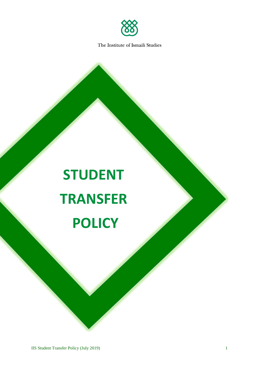

# **STUDENT TRANSFER POLICY**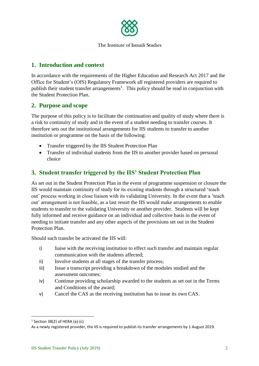

# **1. Introduction and context**

In accordance with the requirements of the Higher Education and Research Act 2017 and the Office for Student's (OfS) Regulatory Framework all registered providers are required to publish their student transfer arrangements<sup>1</sup>. This policy should be read in conjunction with the Student Protection Plan.

### **2. Purpose and scope**

The purpose of this policy is to facilitate the continuation and quality of study where there is a risk to continuity of study and in the event of a student needing to transfer courses. It therefore sets out the institutional arrangements for IIS students to transfer to another institution or programme on the basis of the following:

- Transfer triggered by the IIS Student Protection Plan
- Transfer of individual students from the IIS to another provider based on personal choice

# **3. Student transfer triggered by the IIS' Student Protection Plan**

As set out in the Student Protection Plan in the event of programme suspension or closure the IIS would maintain continuity of study for its existing students through a structured 'teach out' process working in close liaison with its validating University. In the event that a 'teach out' arrangement is not feasible, as a last resort the IIS would make arrangements to enable students to transfer to the validating University or another provider. Students will be kept fully informed and receive guidance on an individual and collective basis in the event of needing to initiate transfer and any other aspects of the provisions set out in the Student Protection Plan.

Should such transfer be activated the IIS will:

- i) liaise with the receiving institution to effect such transfer and maintain regular communication with the students affected;
- ii) Involve students at all stages of the transfer process;
- iii) Issue a transcript providing a breakdown of the modules studied and the assessment outcomes;
- iv) Continue providing scholarship awarded to the students as set out in the Terms and Conditions of the award;
- v) Cancel the CAS as the receiving institution has to issue its own CAS.

**.** 

<sup>1</sup> Section 38(2) of HERA (a)-(c)

As a newly registered provider, the IIS is required to publish its transfer arrangements by 1 August 2019.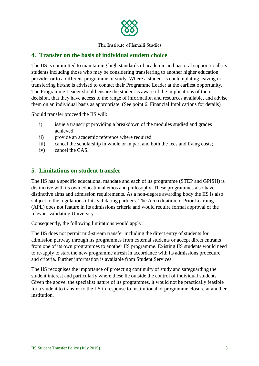

#### **4. Transfer on the basis of individual student choice**

The IIS is committed to maintaining high standards of academic and pastoral support to all its students including those who may be considering transferring to another higher education provider or to a different programme of study. Where a student is contemplating leaving or transferring he/she is advised to contact their Programme Leader at the earliest opportunity. The Programme Leader should ensure the student is aware of the implications of their decision, that they have access to the range of information and resources available, and advise them on an individual basis as appropriate. (See point 6. Financial Implications for details)

Should transfer proceed the IIS will:

- i) issue a transcript providing a breakdown of the modules studied and grades achieved;
- ii) provide an academic reference where required;
- iii) cancel the scholarship in whole or in part and both the fees and living costs;
- iv) cancel the CAS.

#### **5. Limitations on student transfer**

The IIS has a specific educational mandate and each of its programme (STEP and GPISH) is distinctive with its own educational ethos and philosophy. These programmes also have distinctive aims and admission requirements. As a non-degree awarding body the IIS is also subject to the regulations of its validating partners. The Accreditation of Prior Learning (APL) does not feature in its admissions criteria and would require formal approval of the relevant validating University.

Consequently, the following limitations would apply:

The IIS does not permit mid-stream transfer including the direct entry of students for admission partway through its programmes from external students or accept direct entrants from one of its own programmes to another IIS programme. Existing IIS students would need to re-apply to start the new programme afresh in accordance with its admissions procedure and criteria. Further information is available from Student Services.

The IIS recognises the importance of protecting continuity of study and safeguarding the student interest and particularly where these lie outside the control of individual students. Given the above, the specialist nature of its programmes, it would not be practically feasible for a student to transfer to the IIS in response to institutional or programme closure at another institution.